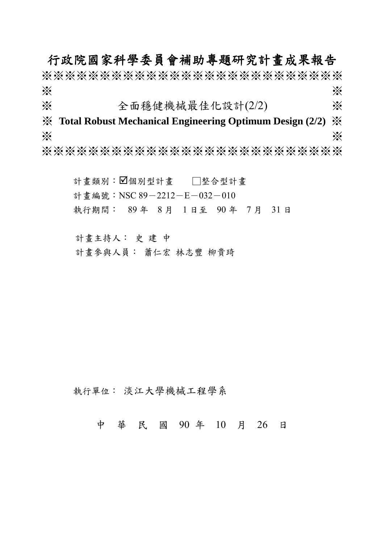行政院國家科學委員會補助專題研究計畫成果報告 ※※※※※※※※※※※※※※※※※※※※※※※※※※  $\gg$   $\gg$ ※ 全面穩健機械最佳化設計(2/2) ※ ※ **Total Robust Mechanical Engineering Optimum Design (2/2)** ※  $\gg$   $\gg$ 

※※※※※※※※※※※※※※※※※※※※※※※※※※

計書類別: 図個別型計畫 「整合型計畫 計書編號: NSC 89-2212-E-032-010 執行期間: 89 年 8 月 1 日至 90 年 7 月 31 日

計書主持人: 史建中

計書參與人員: 蕭仁宏 林志豐 柳貴琦

執行單位: 淡江大學機械工程學系

中 華 民 國 90 年 10 月 26 日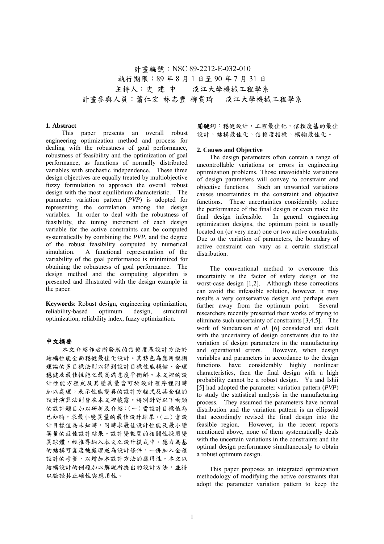計書編號: NSC 89-2212-E-032-010 執行期限:89 年 8 月 1 日至 90 年 7 月 31 日 主持人:史建 中 淡江大學機械工程學系 計書參與人員:蕭仁宏 林志豐 柳貴琦 淡江大學機械工程學系

# **1. Abstract**

 This paper presents an overall robust engineering optimization method and process for dealing with the robustness of goal performance, robustness of feasibility and the optimization of goal performance, as functions of normally distributed variables with stochastic independence. These three design objectives are equally treated by multiobjective fuzzy formulation to approach the overall robust design with the most equilibrium characteristic. The parameter variation pattern (*PVP*) is adopted for representing the correlation among the design variables. In order to deal with the robustness of feasibility, the tuning increment of each design variable for the active constraints can be computed systematically by combining the *PVP*, and the degree of the robust feasibility computed by numerical simulation. A functional representation of the variability of the goal performance is minimized for obtaining the robustness of goal performance. The design method and the computing algorithm is presented and illustrated with the design example in the paper.

**Keywords**: Robust design, engineering optimization, reliability-based optimum design, structural optimization, reliability index, fuzzy optimization.

#### 中文摘要

 本文介紹作者所發展的信賴度基設計方法於 結構性能全面穩健最佳化設計。其特色為應用模糊 理論的多目標法則以得到設計目標性能穩健、合理 穩健及最佳性能之最高滿意度平衡解。本文裡的設 計性能方程式及其變異量皆可於設計程序裡同時 加以處理。表示性能變異的設計方程式及其全程的 設計演算法則皆在本文裡披露。特別針對以下兩類 的設計題目加以研析及介紹:(㆒)當設計目標值為 己知時,求最小變異量的最佳設計結果。(二)當設 計目標值為未知時,同時求最佳設計性能及最小變 異量的最佳設計結果。設計變數間的相關性採用變 異球體,經推導納入本文之設計模式中。應力為基 的結構可靠度被處理成為設計條件,㆒併加入全程 設計的考量,以增加本設計方法的應用性。本文以 結構設計的例題加以解說所提出的設計方法,並得 以驗證其正確性與應用性。

開鍵詞:穩健設計,工程最佳化,信賴度基的最佳 設計,結構最佳化,信賴度指標,模糊最佳化。

#### **2. Causes and Objective**

The design parameters often contain a range of uncontrollable variations or errors in engineering optimization problems. Those unavoidable variations of design parameters will convey to constraint and objective functions. Such an unwanted variations causes uncertainties in the constraint and objective functions. These uncertainties considerably reduce the performance of the final design or even make the final design infeasible. In general engineering optimization designs, the optimum point is usually located on (or very near) one or two active constraints. Due to the variation of parameters, the boundary of active constraint can vary as a certain statistical distribution.

The conventional method to overcome this uncertainty is the factor of safety design or the worst-case design [1,2]. Although these corrections can avoid the infeasible solution, however, it may results a very conservative design and perhaps even further away from the optimum point. Several researchers recently presented their works of trying to eliminate such uncertainty of constraints [3,4,5]. The work of Sundaresan *et al*. [6] considered and dealt with the uncertainty of design constraints due to the variation of design parameters in the manufacturing and operational errors. However, when design variables and parameters in accordance to the design functions have considerably highly nonlinear characteristics, then the final design with a high probability cannot be a robust design. Yu and Ishii [5] had adopted the parameter variation pattern (*PVP*) to study the statistical analysis in the manufacturing process. They assumed the parameters have normal distribution and the variation pattern is an ellipsoid that accordingly revised the final design into the feasible region. However, in the recent reports mentioned above, none of them systematically deals with the uncertain variations in the constraints and the optimal design performance simultaneously to obtain a robust optimum design.

This paper proposes an integrated optimization methodology of modifying the active constraints that adopt the parameter variation pattern to keep the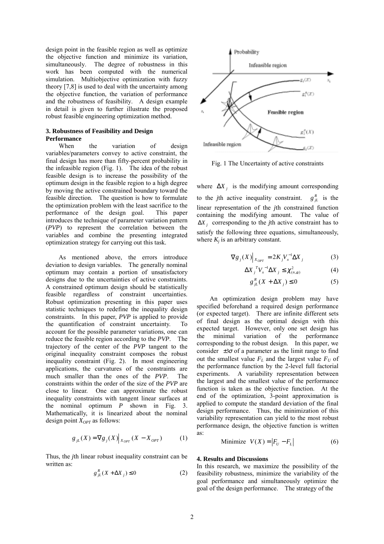design point in the feasible region as well as optimize the objective function and minimize its variation, simultaneously. The degree of robustness in this work has been computed with the numerical simulation. Multiobjective optimization with fuzzy theory [7,8] is used to deal with the uncertainty among the objective function, the variation of performance and the robustness of feasibility. A design example in detail is given to further illustrate the proposed robust feasible engineering optimization method.

### **3. Robustness of Feasibility and Design Performance**

When the variation of design variables/parameters convey to active constraint, the final design has more than fifty-percent probability in the infeasible region (Fig. 1). The idea of the robust feasible design is to increase the possibility of the optimum design in the feasible region to a high degree by moving the active constrained boundary toward the feasible direction. The question is how to formulate the optimization problem with the least sacrifice to the performance of the design goal. This paper introduces the technique of parameter variation pattern (*PVP*) to represent the correlation between the variables and combine the presenting integrated optimization strategy for carrying out this task.

As mentioned above, the errors introduce deviation to design variables. The generally nominal optimum may contain a portion of unsatisfactory designs due to the uncertainties of active constraints. A constrained optimum design should be statistically feasible regardless of constraint uncertainties. Robust optimization presenting in this paper uses statistic techniques to redefine the inequality design constraints. In this paper, *PVP* is applied to provide the quantification of constraint uncertainty. To account for the possible parameter variations, one can reduce the feasible region according to the *PVP*. The trajectory of the center of the *PVP* tangent to the original inequality constraint composes the robust inequality constraint (Fig. 2). In most engineering applications, the curvatures of the constraints are much smaller than the ones of the *PVP*. The constraints within the order of the size of the *PVP* are close to linear. One can approximate the robust inequality constraints with tangent linear surfaces at the nominal optimum *P* shown in Fig. 3. Mathematically, it is linearized about the nominal design point  $X_{OPT}$  as follows:

$$
g_{jL}(X) = \nabla g_j(X)|_{X_{OPT}}(X - X_{OPT})
$$
 (1)

Thus, the *j*th linear robust inequality constraint can be written as:

$$
g_{jL}^{R}(X + \Delta X_{j}) \le 0
$$
 (2)



Fig. 1 The Uncertainty of active constraints

where  $\Delta X_i$  is the modifying amount corresponding to the *j*th active inequality constraint.  $g_{il}^R$  is the linear representation of the *j*th constrained function containing the modifying amount. The value of ∆*X <sup>j</sup>* corresponding to the *j*th active constraint has to satisfy the following three equations, simultaneously, where  $K_i$  is an arbitrary constant.

$$
\nabla g_j(X)\Big|_{X_{OPT}} = 2K_j V_x^{-1} \Delta X_j \tag{3}
$$

$$
\Delta X_j^T V_x^{-1} \Delta X_j \le \chi^2_{(n,\alpha)} \tag{4}
$$

$$
g_{jL}^R(X + \Delta X_j) \le 0 \tag{5}
$$

An optimization design problem may have specified beforehand a required design performance (or expected target). There are infinite different sets of final design as the optimal design with this expected target. However, only one set design has the minimal variation of the performance corresponding to the robust design. In this paper, we consider  $\pm 3\sigma$  of a parameter as the limit range to find out the smallest value  $F_L$  and the largest value  $F_U$  of the performance function by the 2-level full factorial experiments. A variability representation between the largest and the smallest value of the performance function is taken as the objective function. At the end of the optimization, 3-point approximation is applied to compute the standard deviation of the final design performance. Thus, the minimization of this variability representation can yield to the most robust performance design, the objective function is written as:

$$
\text{Minimize} \quad V(X) = \left| F_U - F_L \right| \tag{6}
$$

## **4. Results and Discussions**

In this research, we maximize the possibility of the feasibility robustness, minimize the variability of the goal performance and simultaneously optimize the goal of the design performance. The strategy of the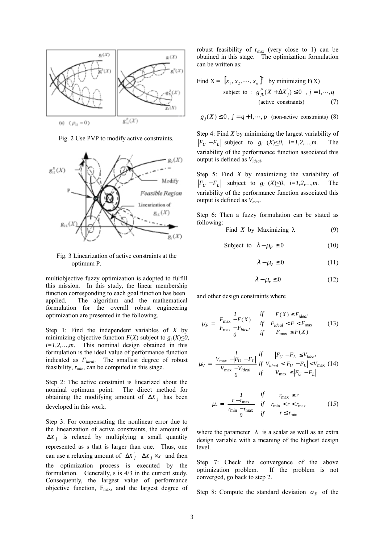

Fig. 2 Use PVP to modify active constraints.



Fig. 3 Linearization of active constraints at the optimum P.

multiobjective fuzzy optimization is adopted to fulfill this mission. In this study, the linear membership function corresponding to each goal function has been applied. The algorithm and the mathematical formulation for the overall robust engineering optimization are presented in the following.

Step 1: Find the independent variables of *X* by minimizing objective function  $F(X)$  subject to  $g_i(X) \le 0$ , *i=1,2,…,m*. This nominal design obtained in this formulation is the ideal value of performance function indicated as *Fideal*. The smallest degree of robust feasibility, *rmin,* can be computed in this stage.

Step 2: The active constraint is linearized about the nominal optimum point. The direct method for obtaining the modifying amount of ∆*X <sup>j</sup>* has been developed in this work.

Step 3. For compensating the nonlinear error due to the linearization of active constraints, the amount of  $\Delta X_i$  is relaxed by multiplying a small quantity represented as s that is larger than one. Thus, one can use a relaxing amount of  $\Delta X$ <sup>'</sup> $j = \Delta X$ <sup>'</sup> $j \times s$  and then the optimization process is executed by the formulation. Generally, s is 4/3 in the current study. Consequently, the largest value of performance objective function,  $F_{\text{max}}$ , and the largest degree of

robust feasibility of  $r_{\text{max}}$  (very close to 1) can be obtained in this stage. The optimization formulation can be written as:

Find 
$$
X = [x_1, x_2, \dots, x_n]^T
$$
 by minimizing  $F(X)$   
subject to :  $g^R_{jL}(X + \Delta X_j) \le 0$ ,  $j = 1, \dots, q$   
(active constraints) (7)

 $g_i(X) \le 0$ ,  $j = q+1, \dots, p$  (non-active constraints) (8)

Step 4: Find *X* by minimizing the largest variability of  $|F_U - F_L|$  subject to *g<sub>i</sub>* (*X*)≤0, *i*=1,2,...,*m*. The variability of the performance function associated this output is defined as *Videal*.

Step 5: Find *X* by maximizing the variability of  $|F_{U} - F_{L}|$  subject to  $g_{i}$  (*X*)  $\leq 0$ , *i*=1,2,…,*m*. The variability of the performance function associated this output is defined as *Vmax*.

Step 6: Then a fuzzy formulation can be stated as following:

Find *X* by Maximizing  $\lambda$  (9)

Subject to  $\lambda - \mu_F \le 0$  (10)

$$
\lambda - \mu_V \le 0 \tag{11}
$$

$$
\lambda - \mu_r \le 0 \tag{12}
$$

and other design constraints where

$$
\mu_F = \begin{cases}\nI & \text{if } F(X) \le F_{ideal} \\
\frac{F_{\text{max}} - F(X)}{F_{\text{max}} - F_{ideal}} & \text{if } F_{ideal} < F < F_{\text{max}} \\
0 & \text{if } F_{\text{max}} \le F(X)\n\end{cases} \tag{13}
$$

$$
\mu_V = \begin{cases}\n\frac{I}{V_{\text{max}} - |F_U - F_L|} & \text{if } |F_U - F_L| \le V_{ideal} \\
\frac{V_{\text{max}} - V_{ideal}}{V_{\text{max}} - V_{ideal}} & \text{if } V_{\text{max}} \le |F_U - F_L| < V_{\text{max}} \\
0 & \text{if } V_{\text{max}} \le |F_U - F_L|\n\end{cases}
$$
\n(14)

$$
\mu_r = \begin{cases}\nI & \text{if } r_{\text{max}} \le r \\
\frac{r - r_{\text{max}}}{r_{\text{min}}} & \text{if } r_{\text{min}} < r < r_{\text{max}} \\
\frac{r_{\text{min}} - r_{\text{max}}}{0} & \text{if } r \le r_{\text{min}}\n\end{cases} \tag{15}
$$

where the parameter  $\lambda$  is a scalar as well as an extra design variable with a meaning of the highest design level.

Step 7: Check the convergence of the above optimization problem. If the problem is not converged, go back to step 2.

Step 8: Compute the standard deviation  $\sigma_F$  of the